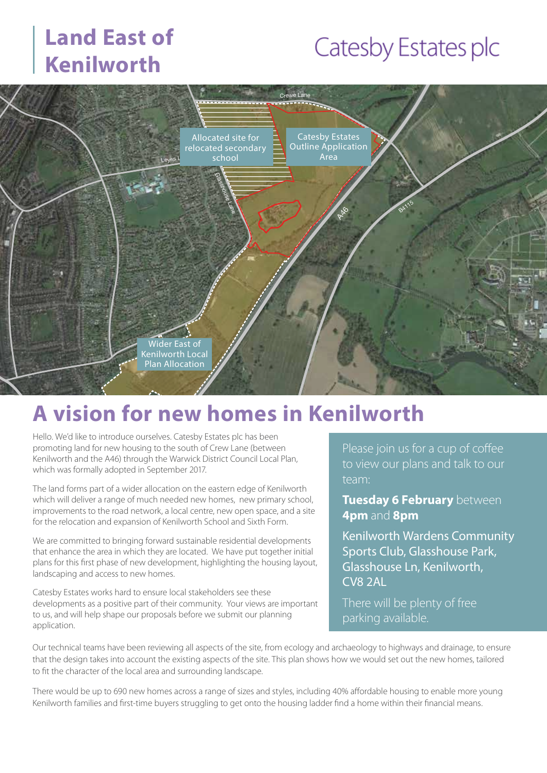### **Land East of Kenilworth**

# Catesby Estates plc



### **A vision for new homes in Kenilworth**

Hello. We'd like to introduce ourselves. Catesby Estates plc has been promoting land for new housing to the south of Crew Lane (between Kenilworth and the A46) through the Warwick District Council Local Plan, which was formally adopted in September 2017.

The land forms part of a wider allocation on the eastern edge of Kenilworth which will deliver a range of much needed new homes, new primary school, improvements to the road network, a local centre, new open space, and a site for the relocation and expansion of Kenilworth School and Sixth Form.

We are committed to bringing forward sustainable residential developments that enhance the area in which they are located. We have put together initial plans for this first phase of new development, highlighting the housing layout, landscaping and access to new homes.

Catesby Estates works hard to ensure local stakeholders see these developments as a positive part of their community. Your views are important to us, and will help shape our proposals before we submit our planning application.

Please join us for a cup of coffee to view our plans and talk to our team:

**Tuesday 6 February** between **4pm** and **8pm**

Kenilworth Wardens Community Sports Club, Glasshouse Park, Glasshouse Ln, Kenilworth, CV8 2AL

There will be plenty of free parking available.

Our technical teams have been reviewing all aspects of the site, from ecology and archaeology to highways and drainage, to ensure that the design takes into account the existing aspects of the site. This plan shows how we would set out the new homes, tailored to fit the character of the local area and surrounding landscape.

There would be up to 690 new homes across a range of sizes and styles, including 40% affordable housing to enable more young Kenilworth families and first-time buyers struggling to get onto the housing ladder find a home within their financial means.